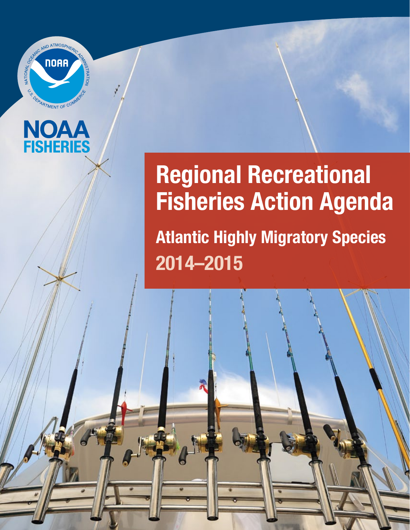



# Regional Recreational Fisheries Action Agenda Atlantic Highly Migratory Species 2014–2015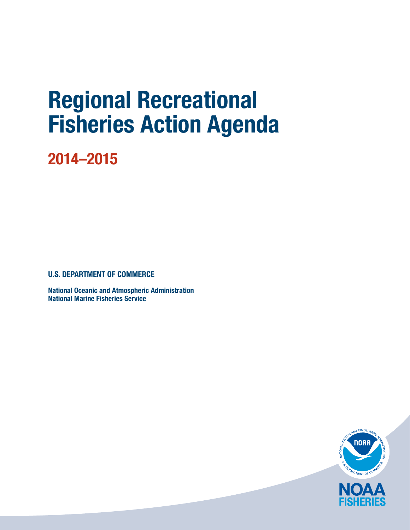## Regional Recreational Fisheries Action Agenda

### 2014–2015

U.S. Department of Commerce

National Oceanic and Atmospheric Administration National Marine Fisheries Service

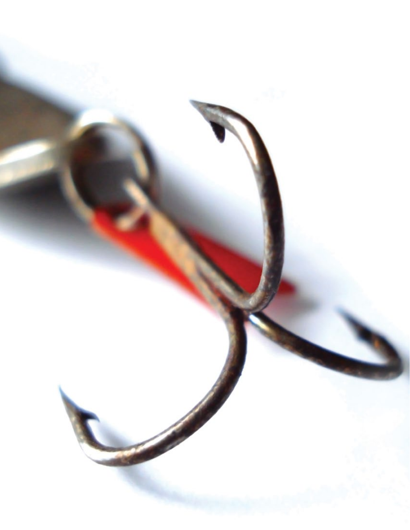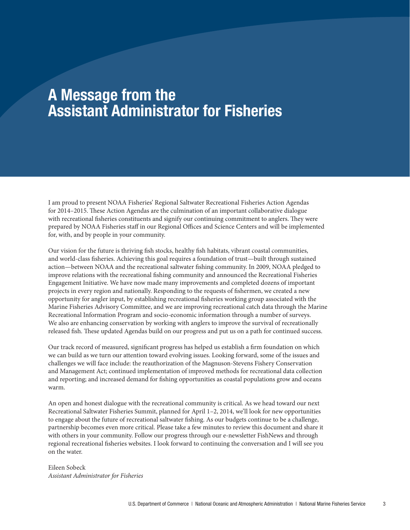### A Message from the Assistant Administrator for Fisheries

I am proud to present NOAA Fisheries' Regional Saltwater Recreational Fisheries Action Agendas for 2014–2015. These Action Agendas are the culmination of an important collaborative dialogue with recreational fisheries constituents and signify our continuing commitment to anglers. They were prepared by NOAA Fisheries staff in our Regional Offices and Science Centers and will be implemented for, with, and by people in your community.

Our vision for the future is thriving fish stocks, healthy fish habitats, vibrant coastal communities, and world-class fisheries. Achieving this goal requires a foundation of trust—built through sustained action—between NOAA and the recreational saltwater fishing community. In 2009, NOAA pledged to improve relations with the recreational fishing community and announced the Recreational Fisheries Engagement Initiative. We have now made many improvements and completed dozens of important projects in every region and nationally. Responding to the requests of fishermen, we created a new opportunity for angler input, by establishing recreational fisheries working group associated with the Marine Fisheries Advisory Committee, and we are improving recreational catch data through the Marine Recreational Information Program and socio-economic information through a number of surveys. We also are enhancing conservation by working with anglers to improve the survival of recreationally released fish. These updated Agendas build on our progress and put us on a path for continued success.

Our track record of measured, significant progress has helped us establish a firm foundation on which we can build as we turn our attention toward evolving issues. Looking forward, some of the issues and challenges we will face include: the reauthorization of the Magnuson-Stevens Fishery Conservation and Management Act; continued implementation of improved methods for recreational data collection and reporting; and increased demand for fishing opportunities as coastal populations grow and oceans warm.

An open and honest dialogue with the recreational community is critical. As we head toward our next Recreational Saltwater Fisheries Summit, planned for April 1–2, 2014, we'll look for new opportunities to engage about the future of recreational saltwater fishing. As our budgets continue to be a challenge, partnership becomes even more critical. Please take a few minutes to review this document and share it with others in your community. Follow our progress through our e-newsletter FishNews and through regional recreational fisheries websites. I look forward to continuing the conversation and I will see you on the water.

Eileen Sobeck *Assistant Administrator for Fisheries*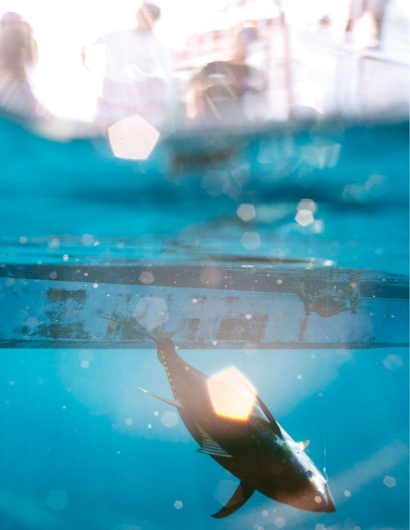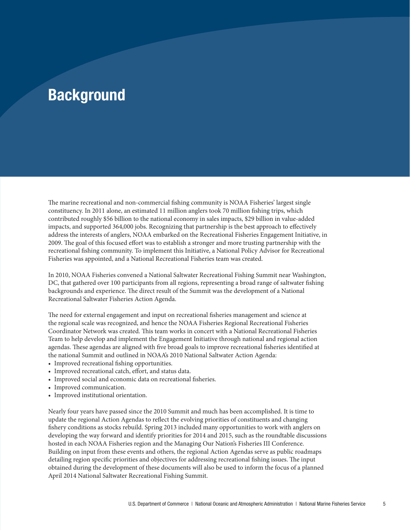### **Background**

The marine recreational and non-commercial fishing community is NOAA Fisheries' largest single constituency. In 2011 alone, an estimated 11 million anglers took 70 million fishing trips, which contributed roughly \$56 billion to the national economy in sales impacts, \$29 billion in value-added impacts, and supported 364,000 jobs. Recognizing that partnership is the best approach to effectively address the interests of anglers, NOAA embarked on the Recreational Fisheries Engagement Initiative, in 2009. The goal of this focused effort was to establish a stronger and more trusting partnership with the recreational fishing community. To implement this Initiative, a National Policy Advisor for Recreational Fisheries was appointed, and a National Recreational Fisheries team was created.

In 2010, NOAA Fisheries convened a National Saltwater Recreational Fishing Summit near Washington, DC, that gathered over 100 participants from all regions, representing a broad range of saltwater fishing backgrounds and experience. The direct result of the Summit was the development of a National Recreational Saltwater Fisheries Action Agenda.

The need for external engagement and input on recreational fisheries management and science at the regional scale was recognized, and hence the NOAA Fisheries Regional Recreational Fisheries Coordinator Network was created. This team works in concert with a National Recreational Fisheries Team to help develop and implement the Engagement Initiative through national and regional action agendas. These agendas are aligned with five broad goals to improve recreational fisheries identified at the national Summit and outlined in NOAA's 2010 National Saltwater Action Agenda:

- • Improved recreational fishing opportunities.
- Improved recreational catch, effort, and status data.
- • Improved social and economic data on recreational fisheries.
- Improved communication.
- • Improved institutional orientation.

Nearly four years have passed since the 2010 Summit and much has been accomplished. It is time to update the regional Action Agendas to reflect the evolving priorities of constituents and changing fishery conditions as stocks rebuild. Spring 2013 included many opportunities to work with anglers on developing the way forward and identify priorities for 2014 and 2015, such as the roundtable discussions hosted in each NOAA Fisheries region and the Managing Our Nation's Fisheries III Conference. Building on input from these events and others, the regional Action Agendas serve as public roadmaps detailing region specific priorities and objectives for addressing recreational fishing issues. The input obtained during the development of these documents will also be used to inform the focus of a planned April 2014 National Saltwater Recreational Fishing Summit.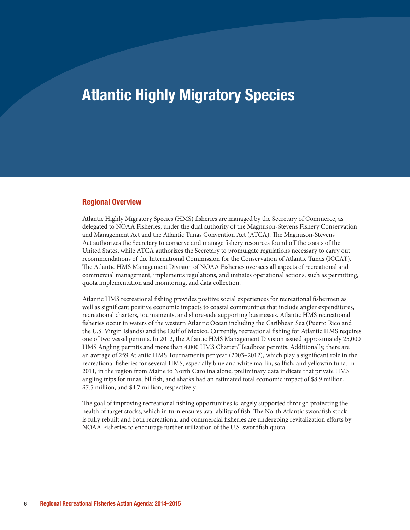### Atlantic Highly Migratory Species

#### Regional Overview

Atlantic Highly Migratory Species (HMS) fisheries are managed by the Secretary of Commerce, as delegated to NOAA Fisheries, under the dual authority of the Magnuson-Stevens Fishery Conservation and Management Act and the Atlantic Tunas Convention Act (ATCA). The Magnuson-Stevens Act authorizes the Secretary to conserve and manage fishery resources found off the coasts of the United States, while ATCA authorizes the Secretary to promulgate regulations necessary to carry out recommendations of the International Commission for the Conservation of Atlantic Tunas (ICCAT). The Atlantic HMS Management Division of NOAA Fisheries oversees all aspects of recreational and commercial management, implements regulations, and initiates operational actions, such as permitting, quota implementation and monitoring, and data collection.

Atlantic HMS recreational fishing provides positive social experiences for recreational fishermen as well as significant positive economic impacts to coastal communities that include angler expenditures, recreational charters, tournaments, and shore-side supporting businesses. Atlantic HMS recreational fisheries occur in waters of the western Atlantic Ocean including the Caribbean Sea (Puerto Rico and the U.S. Virgin Islands) and the Gulf of Mexico. Currently, recreational fishing for Atlantic HMS requires one of two vessel permits. In 2012, the Atlantic HMS Management Division issued approximately 25,000 HMS Angling permits and more than 4,000 HMS Charter/Headboat permits. Additionally, there are an average of 259 Atlantic HMS Tournaments per year (2003–2012), which play a significant role in the recreational fisheries for several HMS, especially blue and white marlin, sailfish, and yellowfin tuna. In 2011, in the region from Maine to North Carolina alone, preliminary data indicate that private HMS angling trips for tunas, billfish, and sharks had an estimated total economic impact of \$8.9 million, \$7.5 million, and \$4.7 million, respectively.

The goal of improving recreational fishing opportunities is largely supported through protecting the health of target stocks, which in turn ensures availability of fish. The North Atlantic swordfish stock is fully rebuilt and both recreational and commercial fisheries are undergoing revitalization efforts by NOAA Fisheries to encourage further utilization of the U.S. swordfish quota.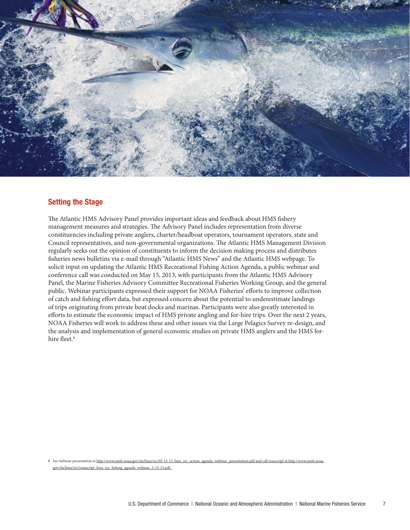

#### Setting the Stage

The Atlantic HMS Advisory Panel provides important ideas and feedback about HMS fishery management measures and strategies. The Advisory Panel includes representation from diverse constituencies including private anglers, charter/headboat operators, tournament operators, state and Council representatives, and non-governmental organizations. The Atlantic HMS Management Division regularly seeks out the opinion of constituents to inform the decision making process and distributes fisheries news bulletins via e-mail through "Atlantic HMS News" and the Atlantic HMS webpage. To solicit input on updating the Atlantic HMS Recreational Fishing Action Agenda, a public webinar and conference call was conducted on May 15, 2013, with participants from the Atlantic HMS Advisory Panel, the Marine Fisheries Advisory Committee Recreational Fisheries Working Group, and the general public. Webinar participants expressed their support for NOAA Fisheries' efforts to improve collection of catch and fishing effort data, but expressed concern about the potential to underestimate landings of trips originating from private boat docks and marinas. Participants were also greatly interested in efforts to estimate the economic impact of HMS private angling and for-hire trips. Over the next 2 years, NOAA Fisheries will work to address these and other issues via the Large Pelagics Survey re-design, and the analysis and implementation of general economic studies on private HMS anglers and the HMS forhire fleet.<sup>8</sup>

8 See webinar presentation at http://www.nmfs.noaa.gov/sfa/hms/rec/05-15-13\_hms\_rec\_action\_agenda\_webinar\_presentation.pdf and call transcript at http://www.nmfs.noaa. gov/sfa/hms/rec/transcript\_hms\_rec\_fishing\_agenda\_webinar\_5-15-13.pdf .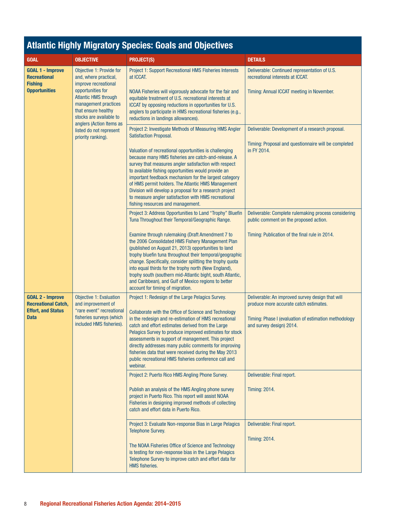| <b>Atlantic Highly Migratory Species: Goals and Objectives</b>                                                                                                                                                                                                                                                                                                                   |                                                                                                                                                                                                                                                                                                                                                                                                                                                                                                           |                                                                                                                                                                                                                                                                                                                                                                                                                                                                                                                                  |                                                                                                                                                                                 |  |  |  |
|----------------------------------------------------------------------------------------------------------------------------------------------------------------------------------------------------------------------------------------------------------------------------------------------------------------------------------------------------------------------------------|-----------------------------------------------------------------------------------------------------------------------------------------------------------------------------------------------------------------------------------------------------------------------------------------------------------------------------------------------------------------------------------------------------------------------------------------------------------------------------------------------------------|----------------------------------------------------------------------------------------------------------------------------------------------------------------------------------------------------------------------------------------------------------------------------------------------------------------------------------------------------------------------------------------------------------------------------------------------------------------------------------------------------------------------------------|---------------------------------------------------------------------------------------------------------------------------------------------------------------------------------|--|--|--|
| <b>GOAL</b>                                                                                                                                                                                                                                                                                                                                                                      | <b>OBJECTIVE</b>                                                                                                                                                                                                                                                                                                                                                                                                                                                                                          | <b>PROJECT(S)</b>                                                                                                                                                                                                                                                                                                                                                                                                                                                                                                                | <b>DETAILS</b>                                                                                                                                                                  |  |  |  |
| <b>GOAL 1 - Improve</b><br>Objective 1: Provide for<br><b>Recreational</b><br>and, where practical,<br><b>Fishing</b><br>improve recreational<br><b>Opportunities</b><br>opportunities for<br><b>Atlantic HMS through</b><br>management practices<br>that ensure healthy<br>stocks are available to<br>anglers (Action Items as<br>listed do not represent<br>priority ranking). |                                                                                                                                                                                                                                                                                                                                                                                                                                                                                                           | <b>Project 1: Support Recreational HMS Fisheries Interests</b><br>at ICCAT.<br>NOAA Fisheries will vigorously advocate for the fair and<br>equitable treatment of U.S. recreational interests at<br>ICCAT by opposing reductions in opportunities for U.S.<br>anglers to participate in HMS recreational fisheries (e.g.,<br>reductions in landings allowances).                                                                                                                                                                 | Deliverable: Continued representation of U.S.<br>recreational interests at ICCAT.<br>Timing: Annual ICCAT meeting in November.                                                  |  |  |  |
|                                                                                                                                                                                                                                                                                                                                                                                  |                                                                                                                                                                                                                                                                                                                                                                                                                                                                                                           | Project 2: Investigate Methods of Measuring HMS Angler<br><b>Satisfaction Proposal.</b><br>Valuation of recreational opportunities is challenging<br>because many HMS fisheries are catch-and-release. A<br>survey that measures angler satisfaction with respect                                                                                                                                                                                                                                                                | Deliverable: Development of a research proposal.<br>Timing: Proposal and questionnaire will be completed<br>in FY 2014.                                                         |  |  |  |
|                                                                                                                                                                                                                                                                                                                                                                                  |                                                                                                                                                                                                                                                                                                                                                                                                                                                                                                           | to available fishing opportunities would provide an<br>important feedback mechanism for the largest category<br>of HMS permit holders. The Atlantic HMS Management<br>Division will develop a proposal for a research project<br>to measure angler satisfaction with HMS recreational                                                                                                                                                                                                                                            |                                                                                                                                                                                 |  |  |  |
|                                                                                                                                                                                                                                                                                                                                                                                  |                                                                                                                                                                                                                                                                                                                                                                                                                                                                                                           | fishing resources and management.<br>Project 3: Address Opportunities to Land "Trophy" Bluefin<br>Tuna Throughout their Temporal/Geographic Range.                                                                                                                                                                                                                                                                                                                                                                               | Deliverable: Complete rulemaking process considering<br>public comment on the proposed action.                                                                                  |  |  |  |
|                                                                                                                                                                                                                                                                                                                                                                                  | Examine through rulemaking (Draft Amendment 7 to<br>the 2006 Consolidated HMS Fishery Management Plan<br>(published on August 21, 2013) opportunities to land<br>trophy bluefin tuna throughout their temporal/geographic<br>change. Specifically, consider splitting the trophy quota<br>into equal thirds for the trophy north (New England),<br>trophy south (southern mid-Atlantic bight, south Atlantic,<br>and Caribbean), and Gulf of Mexico regions to better<br>account for timing of migration. | Timing: Publication of the final rule in 2014.                                                                                                                                                                                                                                                                                                                                                                                                                                                                                   |                                                                                                                                                                                 |  |  |  |
| <b>GOAL 2 - Improve</b><br><b>Recreational Catch,</b><br><b>Effort, and Status</b><br><b>Data</b>                                                                                                                                                                                                                                                                                | <b>Objective 1: Evaluation</b><br>and improvement of<br>"rare event" recreational<br>fisheries surveys (which<br>included HMS fisheries).                                                                                                                                                                                                                                                                                                                                                                 | Project 1: Redesign of the Large Pelagics Survey.<br>Collaborate with the Office of Science and Technology<br>in the redesign and re-estimation of HMS recreational<br>catch and effort estimates derived from the Large<br>Pelagics Survey to produce improved estimates for stock<br>assessments in support of management. This project<br>directly addresses many public comments for improving<br>fisheries data that were received during the May 2013<br>public recreational HMS fisheries conference call and<br>webinar. | Deliverable: An improved survey design that will<br>produce more accurate catch estimates.<br>Timing: Phase I (evaluation of estimation methodology<br>and survey design) 2014. |  |  |  |
|                                                                                                                                                                                                                                                                                                                                                                                  |                                                                                                                                                                                                                                                                                                                                                                                                                                                                                                           | Project 2: Puerto Rico HMS Angling Phone Survey.<br>Publish an analysis of the HMS Angling phone survey<br>project in Puerto Rico. This report will assist NOAA<br>Fisheries in designing improved methods of collecting<br>catch and effort data in Puerto Rico.                                                                                                                                                                                                                                                                | Deliverable: Final report.<br><b>Timing: 2014.</b>                                                                                                                              |  |  |  |
|                                                                                                                                                                                                                                                                                                                                                                                  |                                                                                                                                                                                                                                                                                                                                                                                                                                                                                                           | Project 3: Evaluate Non-response Bias in Large Pelagics<br><b>Telephone Survey.</b><br>The NOAA Fisheries Office of Science and Technology<br>is testing for non-response bias in the Large Pelagics<br>Telephone Survey to improve catch and effort data for<br><b>HMS</b> fisheries.                                                                                                                                                                                                                                           | Deliverable: Final report.<br><b>Timing: 2014.</b>                                                                                                                              |  |  |  |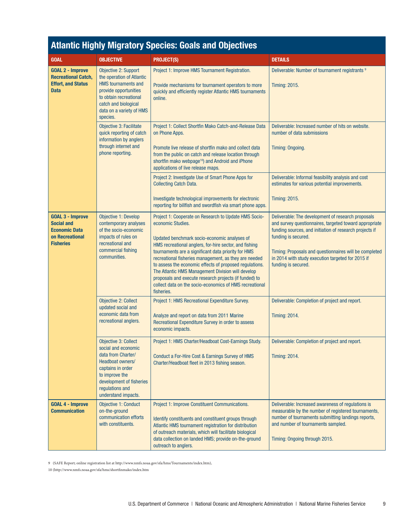### Atlantic Highly Migratory Species: Goals and Objectives

| <b>GOAL</b>                                                                                                 | <b>OBJECTIVE</b>                                                                                                                                                                                          | <b>PROJECT(S)</b>                                                                                                                                                                                                                                                                                                                                                                                                                                                                                                                                       | <b>DETAILS</b>                                                                                                                                                                                                                                                                                                                       |
|-------------------------------------------------------------------------------------------------------------|-----------------------------------------------------------------------------------------------------------------------------------------------------------------------------------------------------------|---------------------------------------------------------------------------------------------------------------------------------------------------------------------------------------------------------------------------------------------------------------------------------------------------------------------------------------------------------------------------------------------------------------------------------------------------------------------------------------------------------------------------------------------------------|--------------------------------------------------------------------------------------------------------------------------------------------------------------------------------------------------------------------------------------------------------------------------------------------------------------------------------------|
| <b>GOAL 2 - Improve</b><br><b>Recreational Catch,</b><br><b>Effort, and Status</b><br><b>Data</b>           | Objective 2: Support<br>the operation of Atlantic<br><b>HMS</b> tournaments and<br>provide opportunities<br>to obtain recreational<br>catch and biological<br>data on a variety of HMS<br>species.        | Project 1: Improve HMS Tournament Registration.<br>Provide mechanisms for tournament operators to more<br>quickly and efficiently register Atlantic HMS tournaments<br>online.                                                                                                                                                                                                                                                                                                                                                                          | Deliverable: Number of tournament registrants <sup>9</sup><br>Timing: 2015.                                                                                                                                                                                                                                                          |
|                                                                                                             | Objective 3: Facilitate<br>quick reporting of catch<br>information by anglers<br>through internet and<br>phone reporting.                                                                                 | Project 1: Collect Shortfin Mako Catch-and-Release Data<br>on Phone Apps.<br>Promote live release of shortfin mako and collect data<br>from the public on catch and release location through<br>shortfin mako webpage <sup>10</sup> ) and Android and iPhone<br>applications of live release maps.                                                                                                                                                                                                                                                      | Deliverable: Increased number of hits on website.<br>number of data submissions<br>Timing: Ongoing.                                                                                                                                                                                                                                  |
|                                                                                                             |                                                                                                                                                                                                           | Project 2: Investigate Use of Smart Phone Apps for<br><b>Collecting Catch Data.</b><br>Investigate technological improvements for electronic<br>reporting for billfish and swordfish via smart phone apps.                                                                                                                                                                                                                                                                                                                                              | Deliverable: Informal feasibility analysis and cost<br>estimates for various potential improvements.<br>Timing: 2015.                                                                                                                                                                                                                |
| <b>GOAL 3 - Improve</b><br><b>Social and</b><br><b>Economic Data</b><br>on Recreational<br><b>Fisheries</b> | <b>Objective 1: Develop</b><br>contemporary analyses<br>of the socio-economic<br>impacts of rules on<br>recreational and<br>commercial fishing<br>communities.                                            | Project 1: Cooperate on Research to Update HMS Socio-<br>economic Studies.<br>Updated benchmark socio-economic analyses of<br>HMS recreational anglers, for-hire sector, and fishing<br>tournaments are a significant data priority for HMS<br>recreational fisheries management, as they are needed<br>to assess the economic effects of proposed regulations.<br>The Atlantic HMS Management Division will develop<br>proposals and execute research projects (if funded) to<br>collect data on the socio-economics of HMS recreational<br>fisheries. | Deliverable: The development of research proposals<br>and survey questionnaires, targeted toward appropriate<br>funding sources, and initiation of research projects if<br>funding is secured.<br>Timing: Proposals and questionnaires will be completed<br>in 2014 with study execution targeted for 2015 if<br>funding is secured. |
|                                                                                                             | <b>Objective 2: Collect</b><br>updated social and<br>economic data from<br>recreational anglers.                                                                                                          | Project 1: HMS Recreational Expenditure Survey.<br>Analyze and report on data from 2011 Marine<br>Recreational Expenditure Survey in order to assess<br>economic impacts.                                                                                                                                                                                                                                                                                                                                                                               | Deliverable: Completion of project and report.<br>Timing: 2014.                                                                                                                                                                                                                                                                      |
|                                                                                                             | <b>Objective 3: Collect</b><br>social and economic<br>data from Charter/<br>Headboat owners/<br>captains in order<br>to improve the<br>development of fisheries<br>regulations and<br>understand impacts. | Project 1: HMS Charter/Headboat Cost-Earnings Study.<br>Conduct a For-Hire Cost & Earnings Survey of HMS<br>Charter/Headboat fleet in 2013 fishing season.                                                                                                                                                                                                                                                                                                                                                                                              | Deliverable: Completion of project and report.<br><b>Timing: 2014.</b>                                                                                                                                                                                                                                                               |
| <b>GOAL 4 - Improve</b><br><b>Communication</b>                                                             | <b>Objective 1: Conduct</b><br>on-the-ground<br>communication efforts<br>with constituents.                                                                                                               | Project 1: Improve Constituent Communications.<br>Identify constituents and constituent groups through<br>Atlantic HMS tournament registration for distribution<br>of outreach materials, which will facilitate biological<br>data collection on landed HMS; provide on-the-ground<br>outreach to anglers.                                                                                                                                                                                                                                              | Deliverable: Increased awareness of regulations is<br>measurable by the number of registered tournaments,<br>number of tournaments submitting landings reports,<br>and number of tournaments sampled.<br>Timing: Ongoing through 2015.                                                                                               |

9 (SAFE Report; online registration list at http://www.nmfs.noaa.gov/sfa/hms/Tournaments/index.htm),

10 (http://www.nmfs.noaa.gov/sfa/hms/shortfinmako/index.htm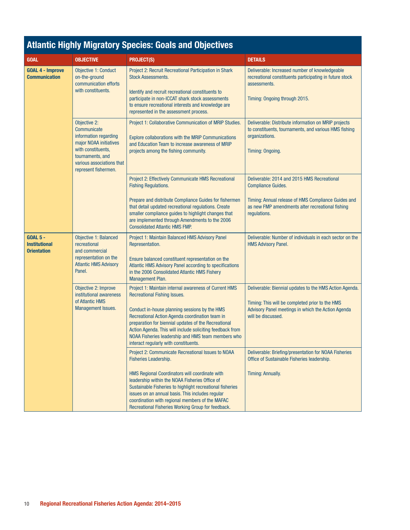| <b>Atlantic Highly Migratory Species: Goals and Objectives</b> |                                                                                                                                                                               |                                                                                                                                                                                                                                                                                                                                                                                                                      |                                                                                                                                                                                                     |  |  |  |
|----------------------------------------------------------------|-------------------------------------------------------------------------------------------------------------------------------------------------------------------------------|----------------------------------------------------------------------------------------------------------------------------------------------------------------------------------------------------------------------------------------------------------------------------------------------------------------------------------------------------------------------------------------------------------------------|-----------------------------------------------------------------------------------------------------------------------------------------------------------------------------------------------------|--|--|--|
| <b>GOAL</b>                                                    | <b>OBJECTIVE</b>                                                                                                                                                              | <b>PROJECT(S)</b>                                                                                                                                                                                                                                                                                                                                                                                                    | <b>DETAILS</b>                                                                                                                                                                                      |  |  |  |
| <b>GOAL 4 - Improve</b><br><b>Communication</b>                | <b>Objective 1: Conduct</b><br>on-the-ground<br>communication efforts<br>with constituents.                                                                                   | Project 2: Recruit Recreational Participation in Shark<br><b>Stock Assessments.</b><br>Identify and recruit recreational constituents to<br>participate in non-ICCAT shark stock assessments<br>to ensure recreational interests and knowledge are<br>represented in the assessment process.                                                                                                                         | Deliverable: Increased number of knowledgeable<br>recreational constituents participating in future stock<br>assessments.<br>Timing: Ongoing through 2015.                                          |  |  |  |
|                                                                | Objective 2:<br>Communicate<br>information regarding<br>major NOAA initiatives<br>with constituents,<br>tournaments, and<br>various associations that<br>represent fishermen. | Project 1: Collaborative Communication of MRIP Studies.<br>Explore collaborations with the MRIP Communications<br>and Education Team to increase awareness of MRIP<br>projects among the fishing community.                                                                                                                                                                                                          | Deliverable: Distribute information on MRIP projects<br>to constituents, tournaments, and various HMS fishing<br>organizations.<br>Timing: Ongoing.                                                 |  |  |  |
|                                                                |                                                                                                                                                                               | Project 2: Effectively Communicate HMS Recreational<br><b>Fishing Regulations.</b><br>Prepare and distribute Compliance Guides for fishermen<br>that detail updated recreational regulations. Create<br>smaller compliance guides to highlight changes that<br>are implemented through Amendments to the 2006<br><b>Consolidated Atlantic HMS FMP.</b>                                                               | Deliverable: 2014 and 2015 HMS Recreational<br><b>Compliance Guides.</b><br>Timing: Annual release of HMS Compliance Guides and<br>as new FMP amendments alter recreational fishing<br>requlations. |  |  |  |
| <b>GOAL 5 -</b><br><b>Institutional</b><br><b>Orientation</b>  | Objective 1: Balanced<br>recreational<br>and commercial<br>representation on the<br><b>Atlantic HMS Advisory</b><br>Panel.                                                    | Project 1: Maintain Balanced HMS Advisory Panel<br>Representation.<br>Ensure balanced constituent representation on the<br>Atlantic HMS Advisory Panel according to specifications<br>in the 2006 Consolidated Atlantic HMS Fishery<br>Management Plan.                                                                                                                                                              | Deliverable: Number of individuals in each sector on the<br><b>HMS Advisory Panel.</b>                                                                                                              |  |  |  |
|                                                                | Objective 2: Improve<br>institutional awareness<br>of Atlantic HMS<br><b>Management Issues.</b>                                                                               | Project 1: Maintain internal awareness of Current HMS<br><b>Recreational Fishing Issues.</b><br>Conduct in-house planning sessions by the HMS<br>Recreational Action Agenda coordination team in<br>preparation for biennial updates of the Recreational<br>Action Agenda. This will include soliciting feedback from<br>NOAA Fisheries leadership and HMS team members who<br>interact regularly with constituents. | Deliverable: Biennial updates to the HMS Action Agenda.<br>Timing: This will be completed prior to the HMS<br>Advisory Panel meetings in which the Action Agenda<br>will be discussed.              |  |  |  |
|                                                                |                                                                                                                                                                               | Project 2: Communicate Recreational Issues to NOAA<br>Fisheries Leadership.<br>HMS Regional Coordinators will coordinate with<br>leadership within the NOAA Fisheries Office of<br>Sustainable Fisheries to highlight recreational fisheries<br>issues on an annual basis. This includes regular<br>coordination with regional members of the MAFAC<br>Recreational Fisheries Working Group for feedback.            | Deliverable: Briefing/presentation for NOAA Fisheries<br>Office of Sustainable Fisheries leadership.<br><b>Timing: Annually.</b>                                                                    |  |  |  |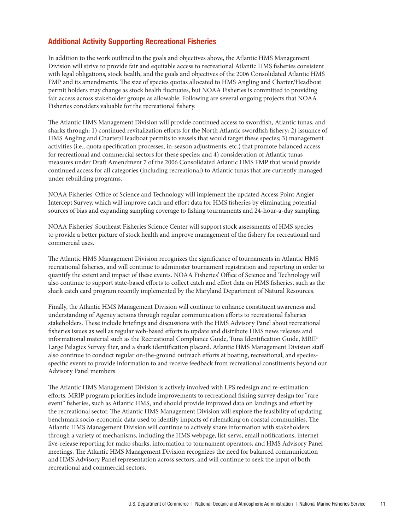#### Additional Activity Supporting Recreational Fisheries

In addition to the work outlined in the goals and objectives above, the Atlantic HMS Management Division will strive to provide fair and equitable access to recreational Atlantic HMS fisheries consistent with legal obligations, stock health, and the goals and objectives of the 2006 Consolidated Atlantic HMS FMP and its amendments. The size of species quotas allocated to HMS Angling and Charter/Headboat permit holders may change as stock health fluctuates, but NOAA Fisheries is committed to providing fair access across stakeholder groups as allowable. Following are several ongoing projects that NOAA Fisheries considers valuable for the recreational fishery.

The Atlantic HMS Management Division will provide continued access to swordfish, Atlantic tunas, and sharks through: 1) continued revitalization efforts for the North Atlantic swordfish fishery; 2) issuance of HMS Angling and Charter/Headboat permits to vessels that would target these species; 3) management activities (i.e., quota specification processes, in-season adjustments, etc.) that promote balanced access for recreational and commercial sectors for these species; and 4) consideration of Atlantic tunas measures under Draft Amendment 7 of the 2006 Consolidated Atlantic HMS FMP that would provide continued access for all categories (including recreational) to Atlantic tunas that are currently managed under rebuilding programs.

NOAA Fisheries' Office of Science and Technology will implement the updated Access Point Angler Intercept Survey, which will improve catch and effort data for HMS fisheries by eliminating potential sources of bias and expanding sampling coverage to fishing tournaments and 24-hour-a-day sampling.

NOAA Fisheries' Southeast Fisheries Science Center will support stock assessments of HMS species to provide a better picture of stock health and improve management of the fishery for recreational and commercial uses.

The Atlantic HMS Management Division recognizes the significance of tournaments in Atlantic HMS recreational fisheries, and will continue to administer tournament registration and reporting in order to quantify the extent and impact of these events. NOAA Fisheries' Office of Science and Technology will also continue to support state-based efforts to collect catch and effort data on HMS fisheries, such as the shark catch card program recently implemented by the Maryland Department of Natural Resources.

Finally, the Atlantic HMS Management Division will continue to enhance constituent awareness and understanding of Agency actions through regular communication efforts to recreational fisheries stakeholders. These include briefings and discussions with the HMS Advisory Panel about recreational fisheries issues as well as regular web-based efforts to update and distribute HMS news releases and informational material such as the Recreational Compliance Guide, Tuna Identification Guide, MRIP Large Pelagics Survey flier, and a shark identification placard. Atlantic HMS Management Division staff also continue to conduct regular on-the-ground outreach efforts at boating, recreational, and speciesspecific events to provide information to and receive feedback from recreational constituents beyond our Advisory Panel members.

The Atlantic HMS Management Division is actively involved with LPS redesign and re-estimation efforts. MRIP program priorities include improvements to recreational fishing survey design for "rare event" fisheries, such as Atlantic HMS, and should provide improved data on landings and effort by the recreational sector. The Atlantic HMS Management Division will explore the feasibility of updating benchmark socio-economic data used to identify impacts of rulemaking on coastal communities. The Atlantic HMS Management Division will continue to actively share information with stakeholders through a variety of mechanisms, including the HMS webpage, list-servs, email notifications, internet live-release reporting for mako sharks, information to tournament operators, and HMS Advisory Panel meetings. The Atlantic HMS Management Division recognizes the need for balanced communication and HMS Advisory Panel representation across sectors, and will continue to seek the input of both recreational and commercial sectors.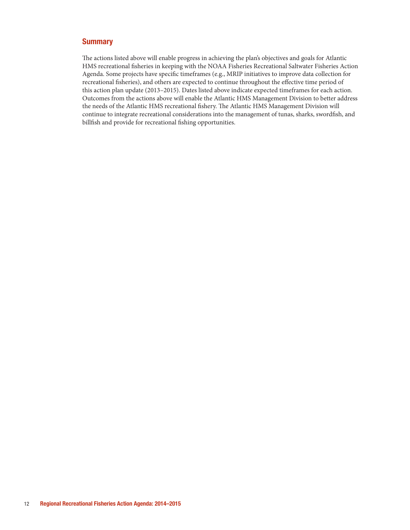#### **Summary**

The actions listed above will enable progress in achieving the plan's objectives and goals for Atlantic HMS recreational fisheries in keeping with the NOAA Fisheries Recreational Saltwater Fisheries Action Agenda. Some projects have specific timeframes (e.g., MRIP initiatives to improve data collection for recreational fisheries), and others are expected to continue throughout the effective time period of this action plan update (2013–2015). Dates listed above indicate expected timeframes for each action. Outcomes from the actions above will enable the Atlantic HMS Management Division to better address the needs of the Atlantic HMS recreational fishery. The Atlantic HMS Management Division will continue to integrate recreational considerations into the management of tunas, sharks, swordfish, and billfish and provide for recreational fishing opportunities.